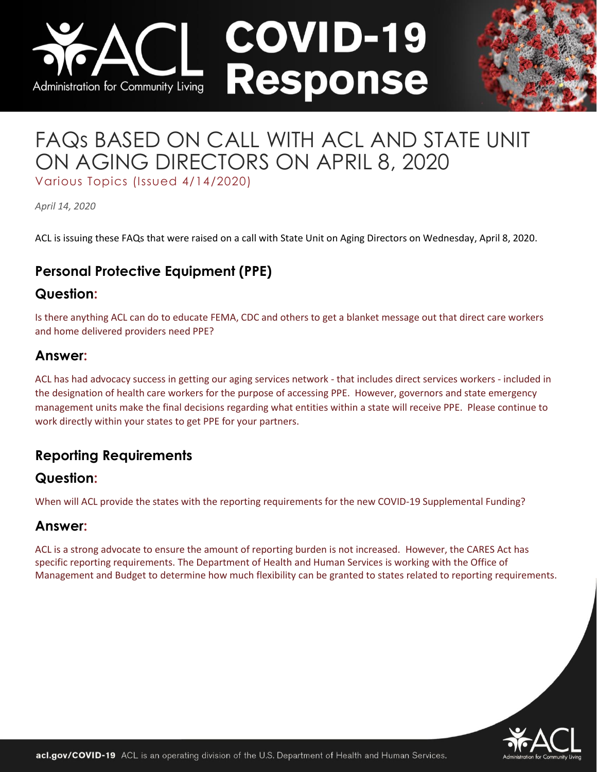# **COVID-19 Response** Administration for Community Living

## FAQs BASED ON CALL WITH ACL AND STATE UNIT ON AGING DIRECTORS ON APRIL 8, 2020

Various Topics (Issued 4/14/2020)

*April 14, 2020*

ACL is issuing these FAQs that were raised on a call with State Unit on Aging Directors on Wednesday, April 8, 2020.

### **Personal Protective Equipment (PPE)**

#### **Question:**

Is there anything ACL can do to educate FEMA, CDC and others to get a blanket message out that direct care workers and home delivered providers need PPE?

#### **Answer:**

ACL has had advocacy success in getting our aging services network - that includes direct services workers - included in the designation of health care workers for the purpose of accessing PPE. However, governors and state emergency management units make the final decisions regarding what entities within a state will receive PPE. Please continue to work directly within your states to get PPE for your partners.

#### **Reporting Requirements**

#### **Question:**

When will ACL provide the states with the reporting requirements for the new COVID-19 Supplemental Funding?

#### **Answer:**

ACL is a strong advocate to ensure the amount of reporting burden is not increased. However, the CARES Act has specific reporting requirements. The Department of Health and Human Services is working with the Office of Management and Budget to determine how much flexibility can be granted to states related to reporting requirements.